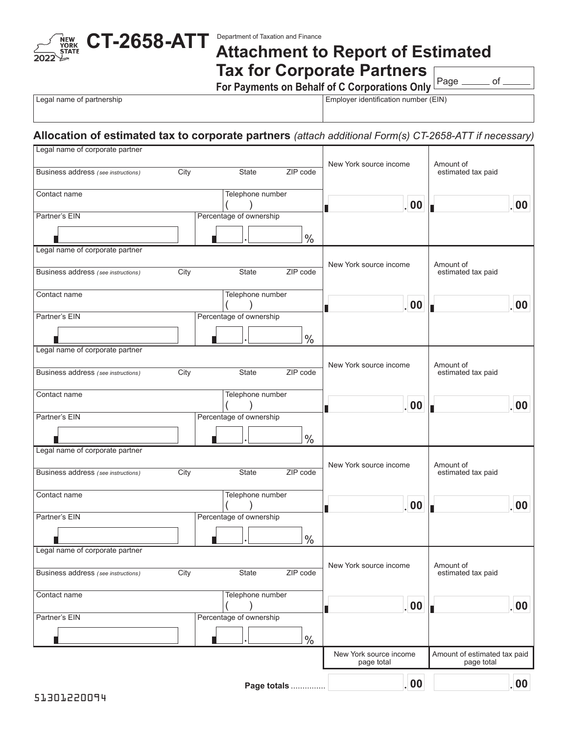

## **Attachment to Report of Estimated Tax for Corporate Partners**

**For Payments on Behalf of C Corporations Only**

Page \_\_\_\_\_\_\_ of \_

Legal name of partnership **Employer identification number (EIN)** 

## **Allocation of estimated tax to corporate partners** *(attach additional Form(s) CT-2658-ATT if necessary)*

| Legal name of corporate partner     |      |                         |               |                                      |                                            |                  |
|-------------------------------------|------|-------------------------|---------------|--------------------------------------|--------------------------------------------|------------------|
| Business address (see instructions) | City | State                   | ZIP code      | New York source income               | Amount of<br>estimated tax paid            |                  |
| Contact name                        |      | Telephone number        |               | .00.                                 |                                            | 00               |
| Partner's EIN                       |      | Percentage of ownership |               |                                      |                                            |                  |
|                                     |      |                         | $\%$          |                                      |                                            |                  |
| Legal name of corporate partner     |      |                         |               |                                      |                                            |                  |
| Business address (see instructions) | City | State                   | ZIP code      | New York source income               | Amount of<br>estimated tax paid            |                  |
| Contact name                        |      | Telephone number        |               | .00.                                 |                                            | 00               |
| Partner's EIN                       |      | Percentage of ownership |               |                                      |                                            |                  |
|                                     |      |                         | $\%$          |                                      |                                            |                  |
| Legal name of corporate partner     |      |                         |               |                                      |                                            |                  |
| Business address (see instructions) | City | State                   | ZIP code      | New York source income               | Amount of<br>estimated tax paid            |                  |
| Contact name                        |      | Telephone number        |               | .00.                                 |                                            | 00               |
| Partner's EIN                       |      | Percentage of ownership |               |                                      |                                            |                  |
|                                     |      |                         | $\frac{0}{0}$ |                                      |                                            |                  |
| Legal name of corporate partner     |      |                         |               |                                      |                                            |                  |
| Business address (see instructions) | City | State                   | ZIP code      | New York source income               | Amount of<br>estimated tax paid            |                  |
| Contact name                        |      | Telephone number        |               | .00.                                 |                                            | 00               |
| Partner's EIN                       |      | Percentage of ownership |               |                                      |                                            |                  |
|                                     |      |                         | $\frac{0}{0}$ |                                      |                                            |                  |
| Legal name of corporate partner     |      |                         |               |                                      |                                            |                  |
| Business address (see instructions) | City | State                   | ZIP code      | New York source income               | Amount of<br>estimated tax paid            |                  |
| Contact name                        |      | Telephone number        |               | . 00                                 |                                            | 00               |
| Partner's EIN                       |      | Percentage of ownership |               |                                      |                                            |                  |
|                                     |      |                         | $\%$          |                                      |                                            |                  |
|                                     |      |                         |               | New York source income<br>page total | Amount of estimated tax paid<br>page total |                  |
|                                     |      |                         | Page totals   | .   00                               |                                            | .00 <sub>1</sub> |
|                                     |      |                         |               |                                      |                                            |                  |